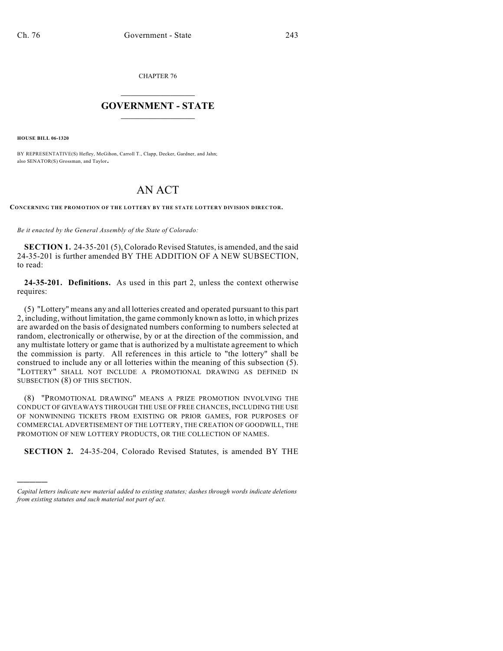CHAPTER 76

## $\overline{\phantom{a}}$  . The set of the set of the set of the set of the set of the set of the set of the set of the set of the set of the set of the set of the set of the set of the set of the set of the set of the set of the set o **GOVERNMENT - STATE**  $\_$

**HOUSE BILL 06-1320**

)))))

BY REPRESENTATIVE(S) Hefley, McGihon, Carroll T., Clapp, Decker, Gardner, and Jahn; also SENATOR(S) Grossman, and Taylor.

## AN ACT

**CONCERNING THE PROMOTION OF THE LOTTERY BY THE STATE LOTTERY DIVISION DIRECTOR.**

*Be it enacted by the General Assembly of the State of Colorado:*

**SECTION 1.** 24-35-201 (5), Colorado Revised Statutes, is amended, and the said 24-35-201 is further amended BY THE ADDITION OF A NEW SUBSECTION, to read:

**24-35-201. Definitions.** As used in this part 2, unless the context otherwise requires:

(5) "Lottery" means any and all lotteries created and operated pursuant to this part 2, including, without limitation, the game commonly known as lotto, in which prizes are awarded on the basis of designated numbers conforming to numbers selected at random, electronically or otherwise, by or at the direction of the commission, and any multistate lottery or game that is authorized by a multistate agreement to which the commission is party. All references in this article to "the lottery" shall be construed to include any or all lotteries within the meaning of this subsection (5). "LOTTERY" SHALL NOT INCLUDE A PROMOTIONAL DRAWING AS DEFINED IN SUBSECTION (8) OF THIS SECTION.

(8) "PROMOTIONAL DRAWING" MEANS A PRIZE PROMOTION INVOLVING THE CONDUCT OF GIVEAWAYS THROUGH THE USE OF FREE CHANCES, INCLUDING THE USE OF NONWINNING TICKETS FROM EXISTING OR PRIOR GAMES, FOR PURPOSES OF COMMERCIAL ADVERTISEMENT OF THE LOTTERY, THE CREATION OF GOODWILL, THE PROMOTION OF NEW LOTTERY PRODUCTS, OR THE COLLECTION OF NAMES.

**SECTION 2.** 24-35-204, Colorado Revised Statutes, is amended BY THE

*Capital letters indicate new material added to existing statutes; dashes through words indicate deletions from existing statutes and such material not part of act.*